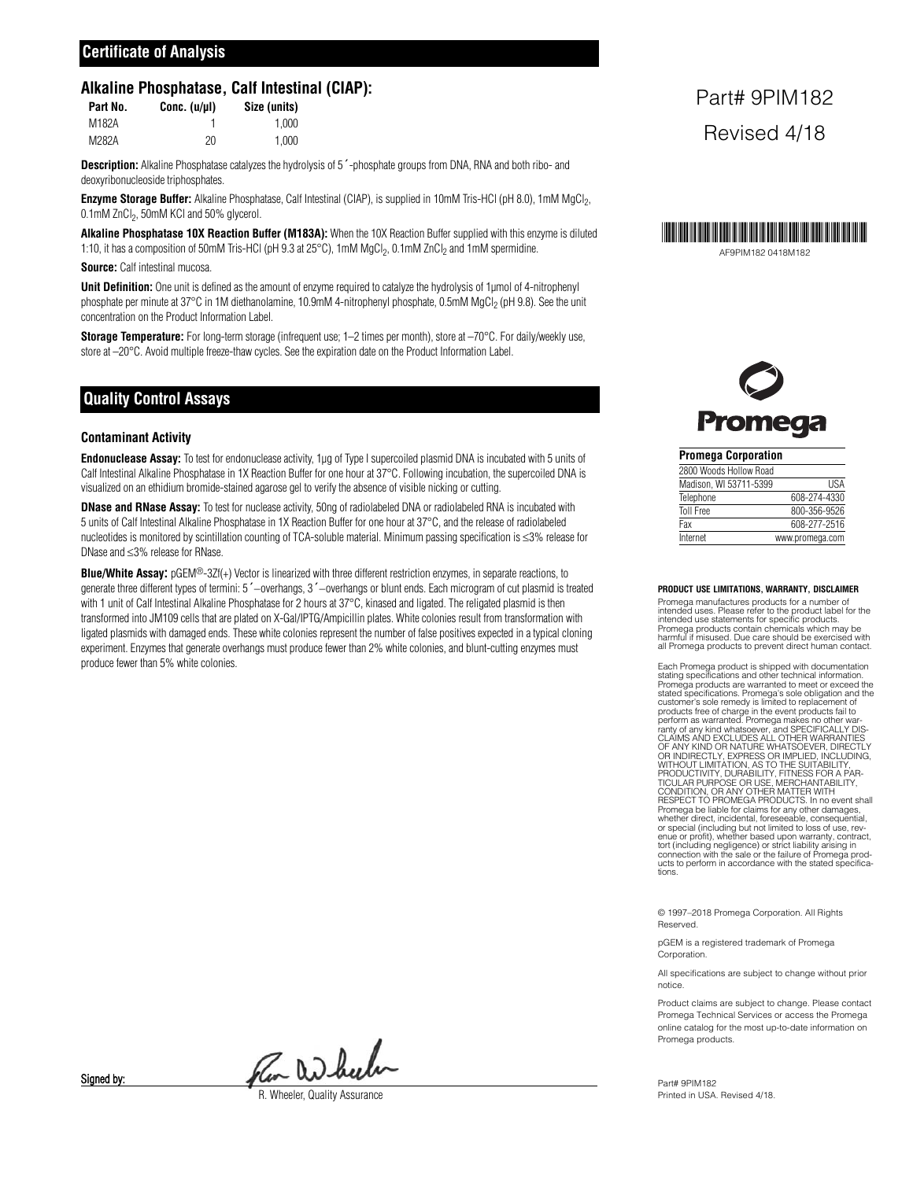# **Certificate of Analysis**

#### **Alkaline Phosphatase, Calf Intestinal (CIAP):**

| Part No. | Conc. $(u/u)$ | Size (units) |
|----------|---------------|--------------|
| M182A    |               | 1.000        |
| M282A    | 20            | 1.000        |

**Description:** Alkaline Phosphatase catalyzes the hydrolysis of 5´-phosphate groups from DNA, RNA and both ribo- and deoxyribonucleoside triphosphates.

**Enzyme Storage Buffer:** Alkaline Phosphatase, Calf Intestinal (CIAP), is supplied in 10mM Tris-HCl (pH 8.0), 1mM MgCl<sub>2</sub>, 0.1mM ZnCl<sub>2</sub>, 50mM KCl and 50% glycerol.

**Alkaline Phosphatase 10X Reaction Buffer (M183A):** When the 10X Reaction Buffer supplied with this enzyme is diluted 1:10, it has a composition of 50mM Tris-HCl (pH 9.3 at 25°C), 1mM MgCl<sub>2</sub>, 0.1mM ZnCl<sub>2</sub> and 1mM spermidine.

**Source:** Calf intestinal mucosa.

**Unit Definition:** One unit is defined as the amount of enzyme required to catalyze the hydrolysis of 1µmol of 4-nitrophenyl phosphate per minute at 37°C in 1M diethanolamine, 10.9mM 4-nitrophenyl phosphate, 0.5mM MgCl<sub>2</sub> (pH 9.8). See the unit concentration on the Product Information Label.

**Storage Temperature:** For long-term storage (infrequent use; 1–2 times per month), store at –70°C. For daily/weekly use, store at  $-20^{\circ}$ C. Avoid multiple freeze-thaw cycles. See the expiration date on the Product Information Label.

# **Quality Control Assays**

#### **Contaminant Activity**

**Endonuclease Assay:** To test for endonuclease activity, 1µg of Type I supercoiled plasmid DNA is incubated with 5 units of Calf Intestinal Alkaline Phosphatase in 1X Reaction Buffer for one hour at 37°C. Following incubation, the supercoiled DNA is visualized on an ethidium bromide-stained agarose gel to verify the absence of visible nicking or cutting.

**DNase and RNase Assay:** To test for nuclease activity, 50ng of radiolabeled DNA or radiolabeled RNA is incubated with 5 units of Calf Intestinal Alkaline Phosphatase in 1X Reaction Buffer for one hour at 37°C, and the release of radiolabeled nucleotides is monitored by scintillation counting of TCA-soluble material. Minimum passing specification is ≤3% release for DNase and ≤3% release for RNase.

**Blue/White Assay:** pGEM®-3Zf(+) Vector is linearized with three different restriction enzymes, in separate reactions, to generate three different types of termini: 5´−overhangs, 3´−overhangs or blunt ends. Each microgram of cut plasmid is treated with 1 unit of Calf Intestinal Alkaline Phosphatase for 2 hours at 37°C, kinased and ligated. The religated plasmid is then transformed into JM109 cells that are plated on X-Gal/IPTG/Ampicillin plates. White colonies result from transformation with ligated plasmids with damaged ends. These white colonies represent the number of false positives expected in a typical cloning experiment. Enzymes that generate overhangs must produce fewer than 2% white colonies, and blunt-cutting enzymes must produce fewer than 5% white colonies.

# Part# 9PIM182 Revised 4/18



Promega

#### **Promega Corporation** 2800 Woods Hollow Road Madison, WI 53711-5399 USA Telephone 608-274-4330 Toll Free 800-356-9526 Fax 608-277-2516 Internet www.promega.com

#### **PRODUCT USE LIMITATIONS, WARRANTY, DISCLAIMER**

Promega manufactures products for a number of intended uses. Please refer to the product label for the intended use statements for specific products. Promega products contain chemicals which may be harmful if misused. Due care should be exercised with all Promega products to prevent direct human contact.

Each Promega product is shipped with documentation<br>stating specifications and other technical information.<br>Promega products are warranted to meet or exceed the<br>stated specifications. Promega's sole obligation and the<br>custo OF ANY KIND OR NATURE WHATSOEVER, DIRECTLY<br>OR INDIRECTLY, EXPRESS OR IMPLIED, INCLUDING,<br>WITHOUT LIMITATION, AS TO THE SUITABILITY,<br>PRODUCTIVITY, DURABILITY, FITNESS FOR A PAR-<br>TICULAR PURPOSE OR USE, MERCHANTABILITY,<br>COND Promega be liable for claims for any other damages, whether direct, incidental, foreseeable, consequential, or special (including but not limited to loss of use, rev-<br>enue or profit), whether based upon warranty, contract,<br>tort (including negligence) or strict liability arising in<br>connection with the sale or the failure of Prome ucts to perform in accordance with the stated specifications.

© 1997–2018 Promega Corporation. All Rights Reserved.

pGEM is a registered trademark of Promega Corporation.

All specifications are subject to change without prior notice.

Product claims are subject to change. Please contact Promega Technical Services or access the Promega online catalog for the most up-to-date information on Promega products.

Part# 9PIM182 Printed in USA. Revised 4/18.

Per Dubulu

*Rheeler, Quality Assurance* 

Signed by: